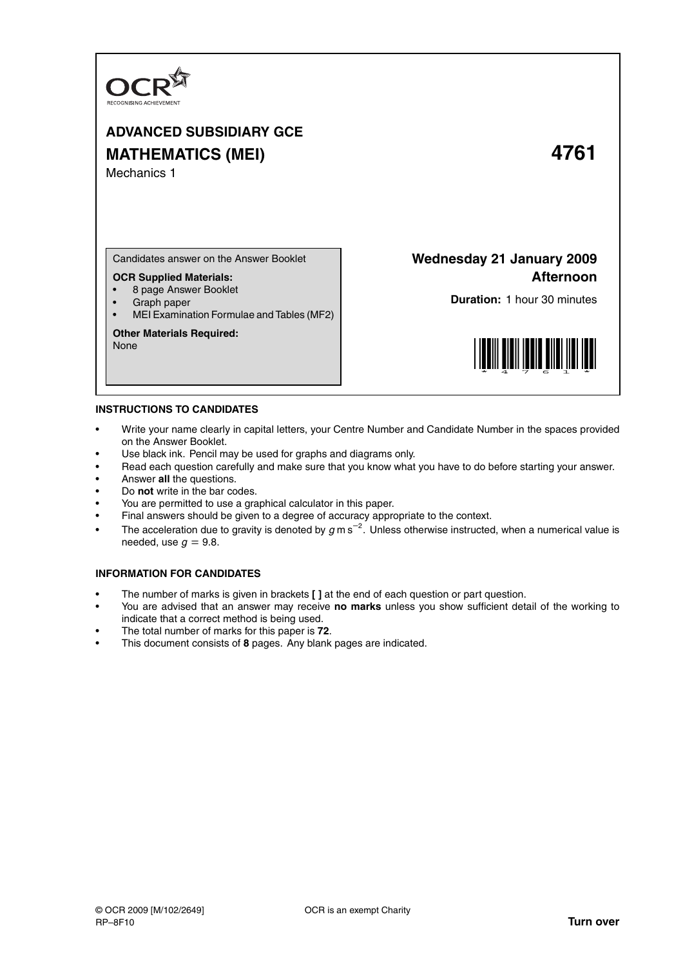

# **ADVANCED SUBSIDIARY GCE MATHEMATICS (MEI) 4761**

Mechanics 1

Candidates answer on the Answer Booklet

#### **OCR Supplied Materials:**

- 8 page Answer Booklet
- Graph paper
- MEI Examination Formulae and Tables (MF2)

#### **Other Materials Required:** None

**Wednesday 21 January 2009 Afternoon**

**Duration:** 1 hour 30 minutes



#### **INSTRUCTIONS TO CANDIDATES**

- Write your name clearly in capital letters, your Centre Number and Candidate Number in the spaces provided on the Answer Booklet.
- Use black ink. Pencil may be used for graphs and diagrams only.
- Read each question carefully and make sure that you know what you have to do before starting your answer.
- Answer **all** the questions.
- Do **not** write in the bar codes.
- You are permitted to use a graphical calculator in this paper.
- Final answers should be given to a degree of accuracy appropriate to the context.
- The acceleration due to gravity is denoted by  $g$  m s<sup>-2</sup>. Unless otherwise instructed, when a numerical value is needed, use  $q = 9.8$ .

#### **INFORMATION FOR CANDIDATES**

- The number of marks is given in brackets **[ ]** at the end of each question or part question.
- You are advised that an answer may receive **no marks** unless you show sufficient detail of the working to indicate that a correct method is being used.
- The total number of marks for this paper is **72**.
- This document consists of **8** pages. Any blank pages are indicated.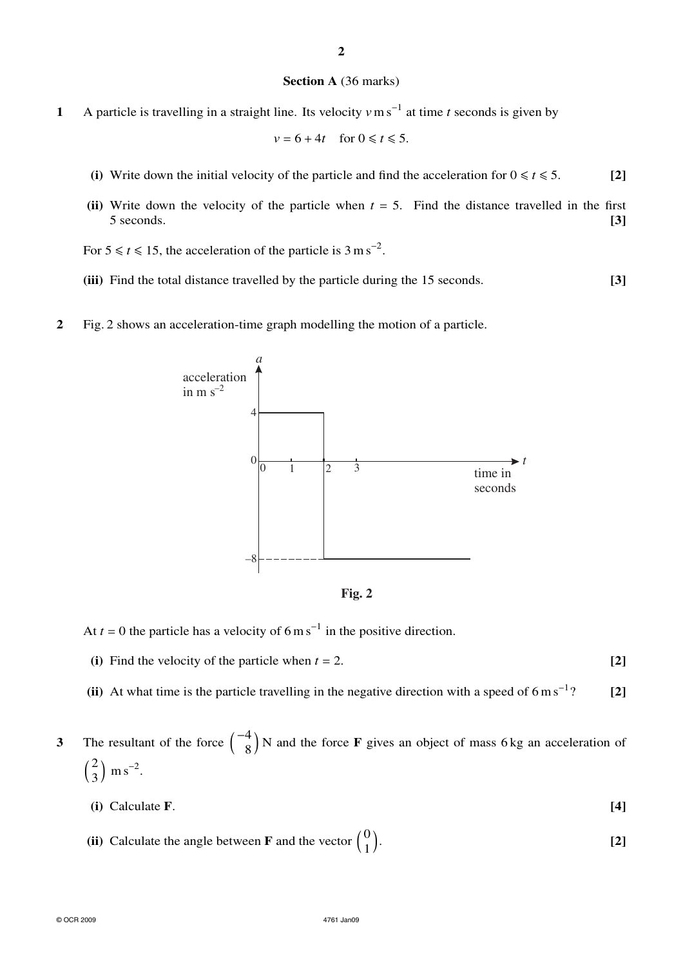### **Section A** (36 marks)

**1** A particle is travelling in a straight line. Its velocity *v*m s<sup>−</sup><sup>1</sup> at time *t* seconds is given by

 $v = 6 + 4t$  for  $0 \le t \le 5$ .

- **(i)** Write down the initial velocity of the particle and find the acceleration for  $0 \le t \le 5$ . [2]
- (ii) Write down the velocity of the particle when  $t = 5$ . Find the distance travelled in the first 5 seconds. **[3]**

For  $5 \le t \le 15$ , the acceleration of the particle is  $3 \text{ m s}^{-2}$ .

- **(iii)** Find the total distance travelled by the particle during the 15 seconds. **[3]**
- **2** Fig. 2 shows an acceleration-time graph modelling the motion of a particle.



**Fig. 2**

At  $t = 0$  the particle has a velocity of 6 m s<sup>-1</sup> in the positive direction.

- **(i)** Find the velocity of the particle when  $t = 2$ . [2]
- (ii) At what time is the particle travelling in the negative direction with a speed of  $6 \text{ m s}^{-1}$ ? ? **[2]**
- **3** The resultant of the force  $\begin{pmatrix} -4 \\ 8 \end{pmatrix}$  $\binom{1}{8}$  N and the force **F** gives an object of mass 6 kg an acceleration of  $\binom{2}{3}$  $\binom{2}{3}$  m s<sup>-2</sup>.
	- **(i)** Calculate **F**. **[4]**
	- (ii) Calculate the angle between **F** and the vector  $\begin{pmatrix} 0 \\ 1 \end{pmatrix}$ 1 . **[2]**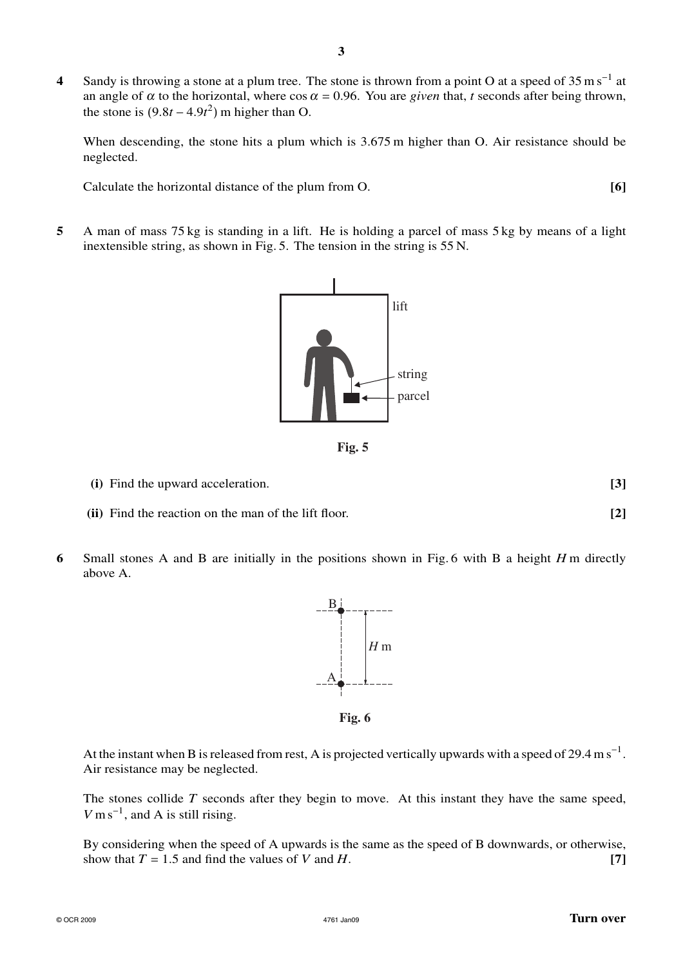**4** Sandy is throwing a stone at a plum tree. The stone is thrown from a point O at a speed of  $35 \text{ m s}^{-1}$  at an angle of  $\alpha$  to the horizontal, where  $\cos \alpha = 0.96$ . You are *given* that, *t* seconds after being thrown, the stone is  $(9.8t - 4.9t^2)$  m higher than O.

When descending, the stone hits a plum which is 3.675 m higher than O. Air resistance should be neglected.

Calculate the horizontal distance of the plum from O. **[6]**

**5** A man of mass 75 kg is standing in a lift. He is holding a parcel of mass 5 kg by means of a light inextensible string, as shown in Fig. 5. The tension in the string is 55 N.



**Fig. 5**

- **(i)** Find the upward acceleration. **[3]**
- **(ii)** Find the reaction on the man of the lift floor. **[2]**
- **6** Small stones A and B are initially in the positions shown in Fig. 6 with B a height *H* m directly above A.



**Fig. 6**

At the instant when B is released from rest, A is projected vertically upwards with a speed of 29.4 m s<sup>-1</sup>. Air resistance may be neglected.

The stones collide *T* seconds after they begin to move. At this instant they have the same speed,  $V \text{ m s}^{-1}$ , and A is still rising.

By considering when the speed of A upwards is the same as the speed of B downwards, or otherwise, show that  $T = 1.5$  and find the values of *V* and *H*. [7]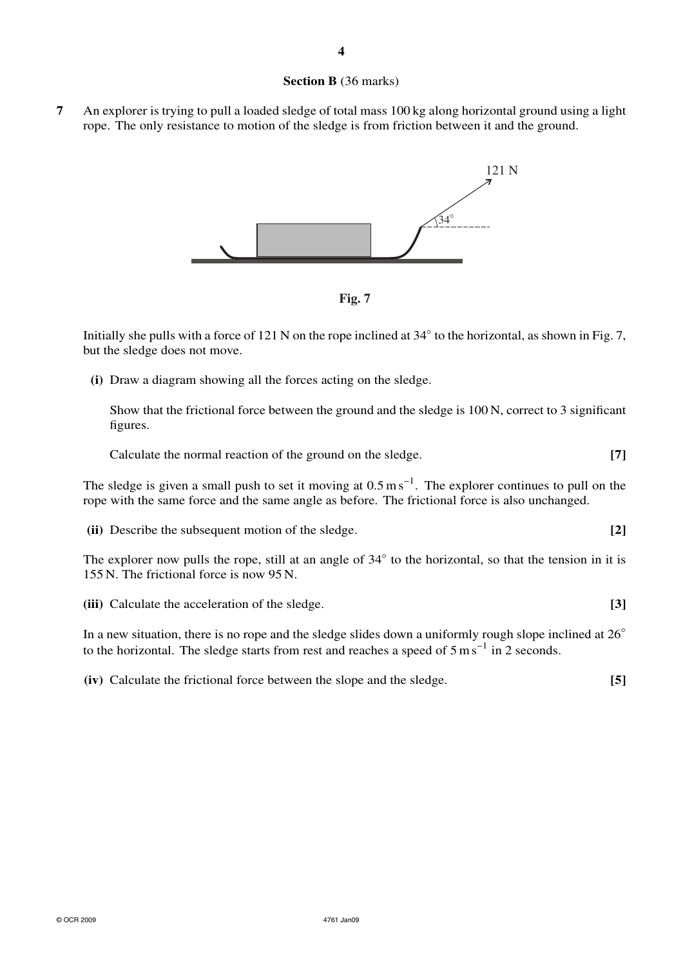## **Section B** (36 marks)

**7** An explorer is trying to pull a loaded sledge of total mass 100 kg along horizontal ground using a light rope. The only resistance to motion of the sledge is from friction between it and the ground.



**Fig. 7**

Initially she pulls with a force of 121 N on the rope inclined at 34 $^{\circ}$  to the horizontal, as shown in Fig. 7, but the sledge does not move.

**(i)** Draw a diagram showing all the forces acting on the sledge.

Show that the frictional force between the ground and the sledge is 100 N, correct to 3 significant figures.

Calculate the normal reaction of the ground on the sledge. **[7]**

The sledge is given a small push to set it moving at  $0.5 \text{ m s}^{-1}$ . The explorer continues to pull on the rope with the same force and the same angle as before. The frictional force is also unchanged.

| (ii) Describe the subsequent motion of the sledge. |  |
|----------------------------------------------------|--|

The explorer now pulls the rope, still at an angle of 34° to the horizontal, so that the tension in it is 155 N. The frictional force is now 95 N.

**(iii)** Calculate the acceleration of the sledge. **[3]**

In a new situation, there is no rope and the sledge slides down a uniformly rough slope inclined at  $26°$ to the horizontal. The sledge starts from rest and reaches a speed of  $5 \text{ m s}^{-1}$  in 2 seconds.

**(iv)** Calculate the frictional force between the slope and the sledge. **[5]**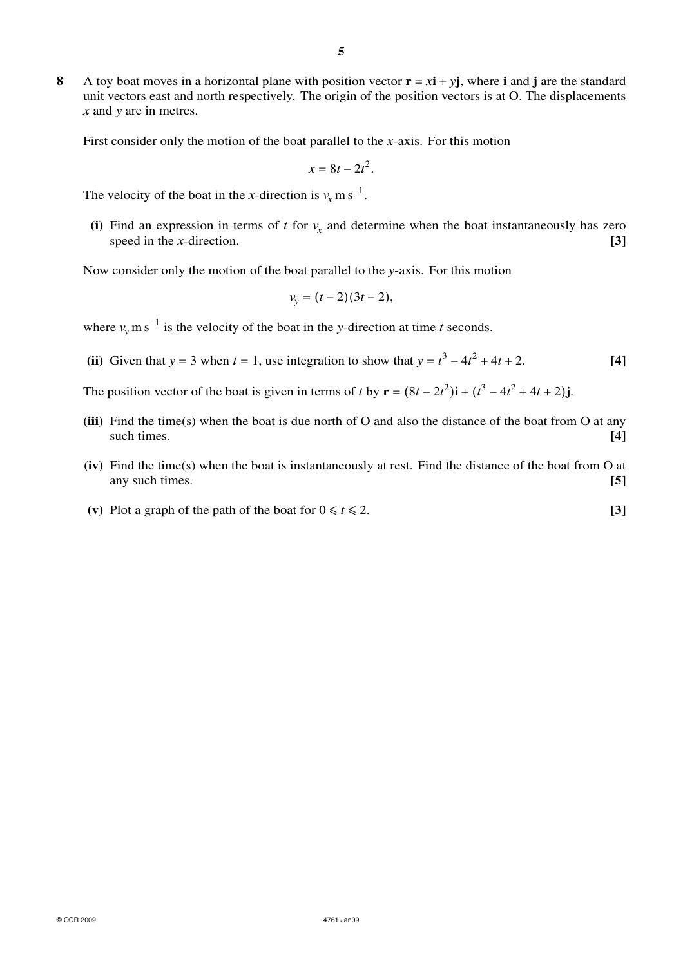**8** A toy boat moves in a horizontal plane with position vector  $\mathbf{r} = x\mathbf{i} + y\mathbf{j}$ , where **i** and **j** are the standard unit vectors east and north respectively. The origin of the position vectors is at O. The displacements *x* and *y* are in metres.

First consider only the motion of the boat parallel to the *x*-axis. For this motion

$$
x=8t-2t^2.
$$

The velocity of the boat in the *x*-direction is  $v_x$  m s<sup>−1</sup>.

(i) Find an expression in terms of  $t$  for  $v_x$  and determine when the boat instantaneously has zero speed in the *x*-direction. **[3]**

Now consider only the motion of the boat parallel to the *y*-axis. For this motion

$$
v_y = (t-2)(3t-2),
$$

where  $v_y$  m s<sup>-1</sup> is the velocity of the boat in the *y*-direction at time *t* seconds.

**(ii)** Given that *y* = 3 when *t* = 1, use integration to show that  $y = t^3 - 4t^2 + 4t + 2$ . [4]

The position vector of the boat is given in terms of *t* by  $\mathbf{r} = (8t - 2t^2)\mathbf{i} + (t^3 - 4t^2 + 4t + 2)\mathbf{j}$ .

- **(iii)** Find the time(s) when the boat is due north of O and also the distance of the boat from O at any such times. **[4]**
- **(iv)** Find the time(s) when the boat is instantaneously at rest. Find the distance of the boat from O at any such times. **[5]**
- (v) Plot a graph of the path of the boat for  $0 \le t \le 2$ . **[3]**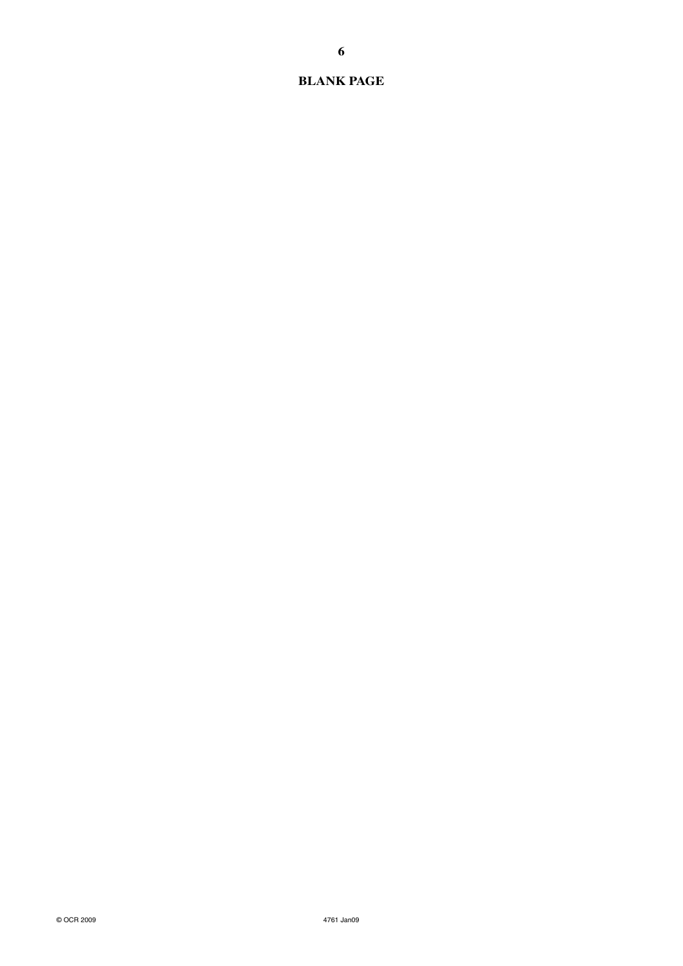## **BLANK PAGE**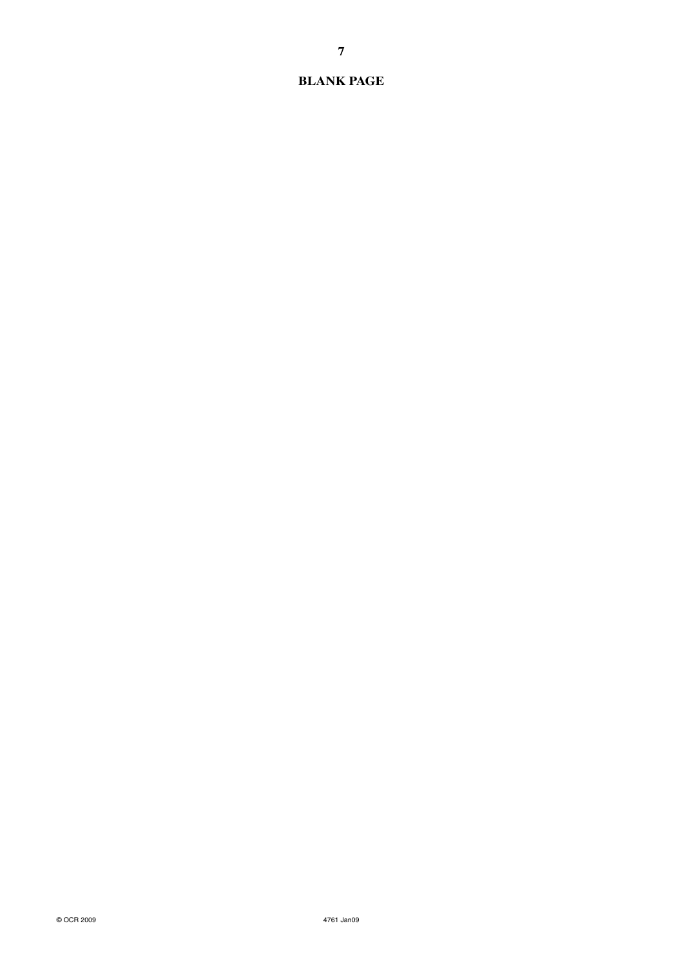## **BLANK PAGE**